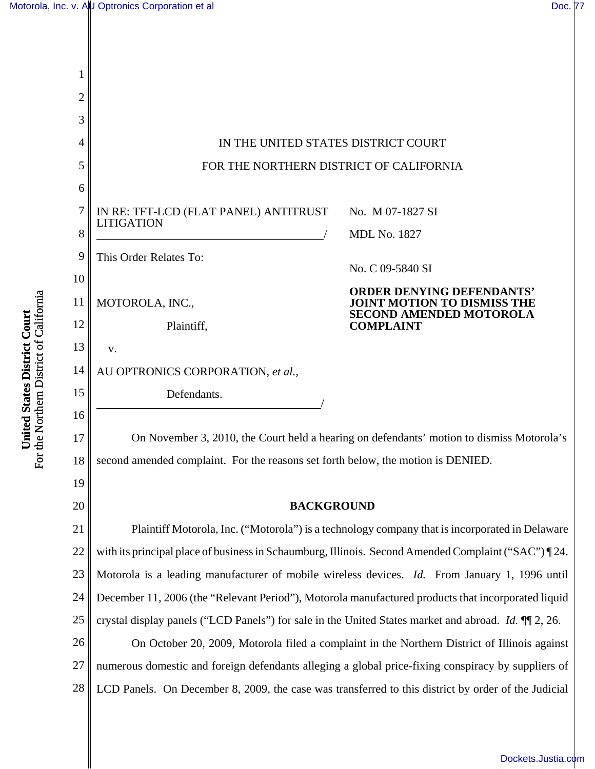

For the Northern District of California For the Northern District of California United States District Court **United States District Court**

[Dockets.Justia.com](http://dockets.justia.com/)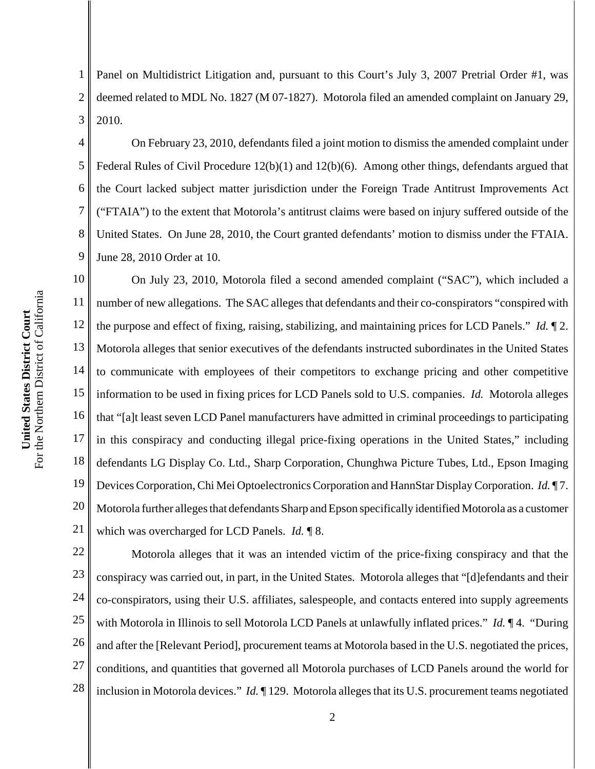For the Northern District of California For the Northern District of California United States District Court **United States District Court**

1 2 3 Panel on Multidistrict Litigation and, pursuant to this Court's July 3, 2007 Pretrial Order #1, was deemed related to MDL No. 1827 (M 07-1827). Motorola filed an amended complaint on January 29, 2010.

4 5 6 7 8 9 On February 23, 2010, defendants filed a joint motion to dismiss the amended complaint under Federal Rules of Civil Procedure 12(b)(1) and 12(b)(6). Among other things, defendants argued that the Court lacked subject matter jurisdiction under the Foreign Trade Antitrust Improvements Act ("FTAIA") to the extent that Motorola's antitrust claims were based on injury suffered outside of the United States. On June 28, 2010, the Court granted defendants' motion to dismiss under the FTAIA. June 28, 2010 Order at 10.

10 11 12 13 14 15 16 17 18 19 20 21 On July 23, 2010, Motorola filed a second amended complaint ("SAC"), which included a number of new allegations. The SAC alleges that defendants and their co-conspirators "conspired with the purpose and effect of fixing, raising, stabilizing, and maintaining prices for LCD Panels." *Id.* ¶ 2. Motorola alleges that senior executives of the defendants instructed subordinates in the United States to communicate with employees of their competitors to exchange pricing and other competitive information to be used in fixing prices for LCD Panels sold to U.S. companies. *Id.* Motorola alleges that "[a]t least seven LCD Panel manufacturers have admitted in criminal proceedings to participating in this conspiracy and conducting illegal price-fixing operations in the United States," including defendants LG Display Co. Ltd., Sharp Corporation, Chunghwa Picture Tubes, Ltd., Epson Imaging Devices Corporation, Chi Mei Optoelectronics Corporation and HannStar Display Corporation. *Id.* ¶ 7. Motorola further alleges that defendants Sharp and Epson specifically identified Motorola as a customer which was overcharged for LCD Panels. *Id.* ¶ 8.

22 23 24 25 26 27 28 Motorola alleges that it was an intended victim of the price-fixing conspiracy and that the conspiracy was carried out, in part, in the United States. Motorola alleges that "[d]efendants and their co-conspirators, using their U.S. affiliates, salespeople, and contacts entered into supply agreements with Motorola in Illinois to sell Motorola LCD Panels at unlawfully inflated prices." *Id.* ¶ 4. "During and after the [Relevant Period], procurement teams at Motorola based in the U.S. negotiated the prices, conditions, and quantities that governed all Motorola purchases of LCD Panels around the world for inclusion in Motorola devices." *Id.* ¶ 129. Motorola alleges that its U.S. procurement teams negotiated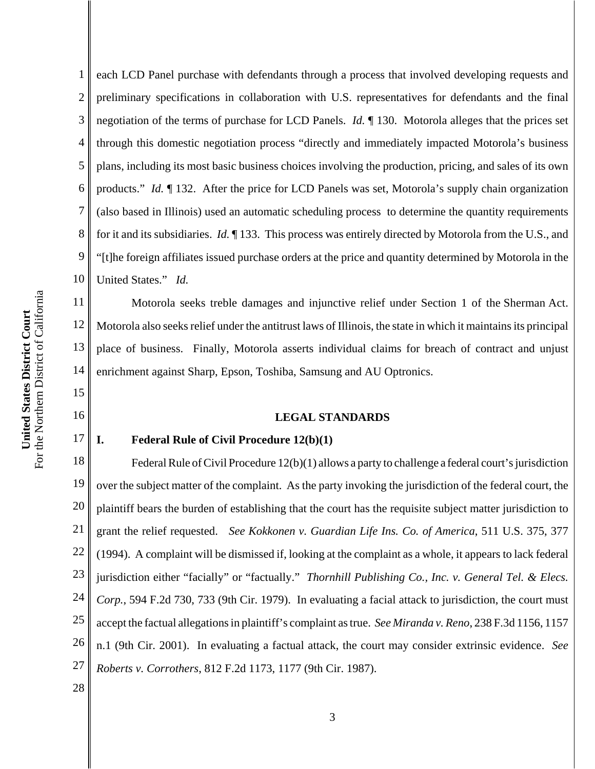15

16

17

1 2 3 4 5 6 7 8 9 10 each LCD Panel purchase with defendants through a process that involved developing requests and preliminary specifications in collaboration with U.S. representatives for defendants and the final negotiation of the terms of purchase for LCD Panels. *Id.* ¶ 130. Motorola alleges that the prices set through this domestic negotiation process "directly and immediately impacted Motorola's business plans, including its most basic business choices involving the production, pricing, and sales of its own products." *Id.* ¶ 132. After the price for LCD Panels was set, Motorola's supply chain organization (also based in Illinois) used an automatic scheduling process to determine the quantity requirements for it and its subsidiaries. *Id.* ¶ 133. This process was entirely directed by Motorola from the U.S., and "[t]he foreign affiliates issued purchase orders at the price and quantity determined by Motorola in the United States." *Id.*

11 12 13 14 Motorola seeks treble damages and injunctive relief under Section 1 of the Sherman Act. Motorola also seeks relief under the antitrust laws of Illinois, the state in which it maintains its principal place of business. Finally, Motorola asserts individual claims for breach of contract and unjust enrichment against Sharp, Epson, Toshiba, Samsung and AU Optronics.

## **LEGAL STANDARDS**

# **I. Federal Rule of Civil Procedure 12(b)(1)**

18 19 20 21 22 23 24 25 26 27 Federal Rule of Civil Procedure 12(b)(1) allows a party to challenge a federal court's jurisdiction over the subject matter of the complaint. As the party invoking the jurisdiction of the federal court, the plaintiff bears the burden of establishing that the court has the requisite subject matter jurisdiction to grant the relief requested. *See Kokkonen v. Guardian Life Ins. Co. of America*, 511 U.S. 375, 377 (1994). A complaint will be dismissed if, looking at the complaint as a whole, it appears to lack federal jurisdiction either "facially" or "factually." *Thornhill Publishing Co., Inc. v. General Tel. & Elecs. Corp.*, 594 F.2d 730, 733 (9th Cir. 1979). In evaluating a facial attack to jurisdiction, the court must accept the factual allegations in plaintiff's complaint as true. *See Miranda v. Reno*, 238 F.3d 1156, 1157 n.1 (9th Cir. 2001). In evaluating a factual attack, the court may consider extrinsic evidence. *See Roberts v. Corrothers*, 812 F.2d 1173, 1177 (9th Cir. 1987).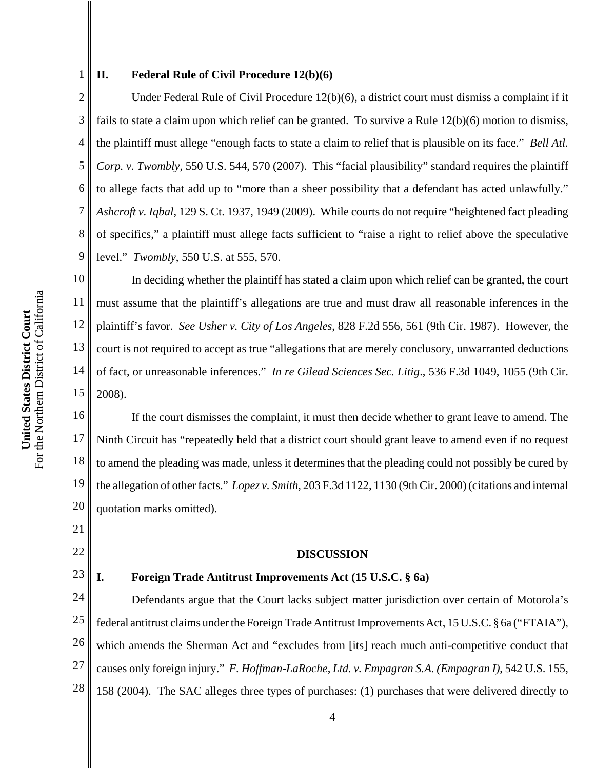2

1

#### **II. Federal Rule of Civil Procedure 12(b)(6)**

3 4 5 6 7 8 9 Under Federal Rule of Civil Procedure 12(b)(6), a district court must dismiss a complaint if it fails to state a claim upon which relief can be granted. To survive a Rule 12(b)(6) motion to dismiss, the plaintiff must allege "enough facts to state a claim to relief that is plausible on its face." *Bell Atl. Corp. v. Twombly*, 550 U.S. 544, 570 (2007). This "facial plausibility" standard requires the plaintiff to allege facts that add up to "more than a sheer possibility that a defendant has acted unlawfully." *Ashcroft v. Iqbal*, 129 S. Ct. 1937, 1949 (2009). While courts do not require "heightened fact pleading of specifics," a plaintiff must allege facts sufficient to "raise a right to relief above the speculative level." *Twombly*, 550 U.S. at 555, 570.

10 11 12 13 14 15 In deciding whether the plaintiff has stated a claim upon which relief can be granted, the court must assume that the plaintiff's allegations are true and must draw all reasonable inferences in the plaintiff's favor. *See Usher v. City of Los Angeles*, 828 F.2d 556, 561 (9th Cir. 1987). However, the court is not required to accept as true "allegations that are merely conclusory, unwarranted deductions of fact, or unreasonable inferences." *In re Gilead Sciences Sec. Litig*., 536 F.3d 1049, 1055 (9th Cir. 2008).

16 17 18 19 20 If the court dismisses the complaint, it must then decide whether to grant leave to amend. The Ninth Circuit has "repeatedly held that a district court should grant leave to amend even if no request to amend the pleading was made, unless it determines that the pleading could not possibly be cured by the allegation of other facts." *Lopez v. Smith*, 203 F.3d 1122, 1130 (9th Cir. 2000) (citations and internal quotation marks omitted).

#### **DISCUSSION**

22 23

21

## **I. Foreign Trade Antitrust Improvements Act (15 U.S.C. § 6a)**

24 25 26 27 28 Defendants argue that the Court lacks subject matter jurisdiction over certain of Motorola's federal antitrust claims under the Foreign Trade Antitrust Improvements Act, 15 U.S.C. § 6a ("FTAIA"), which amends the Sherman Act and "excludes from [its] reach much anti-competitive conduct that causes only foreign injury." *F. Hoffman-LaRoche*, *Ltd. v. Empagran S.A. (Empagran I)*, 542 U.S. 155, 158 (2004). The SAC alleges three types of purchases: (1) purchases that were delivered directly to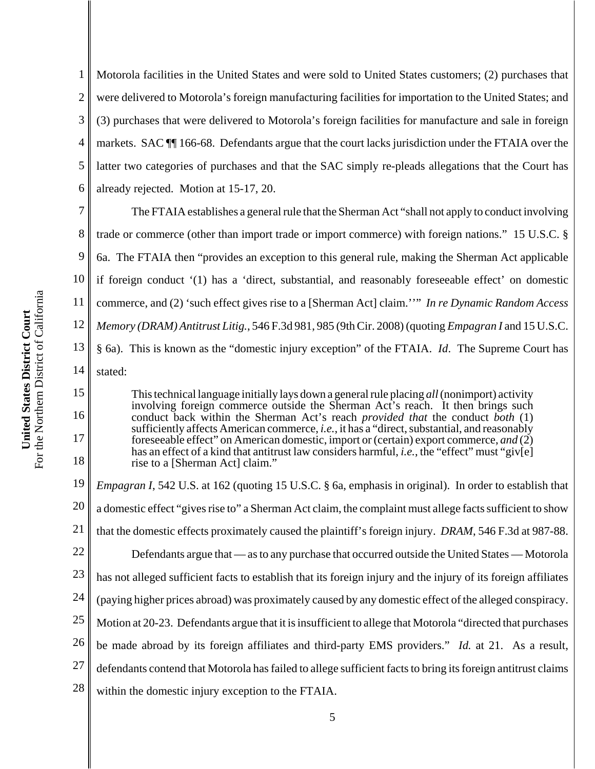15

16

17

18

1 2 3 4 5 6 Motorola facilities in the United States and were sold to United States customers; (2) purchases that were delivered to Motorola's foreign manufacturing facilities for importation to the United States; and (3) purchases that were delivered to Motorola's foreign facilities for manufacture and sale in foreign markets. SAC ¶¶ 166-68. Defendants argue that the court lacks jurisdiction under the FTAIA over the latter two categories of purchases and that the SAC simply re-pleads allegations that the Court has already rejected. Motion at 15-17, 20.

7 8 9 10 11 12 13 14 The FTAIA establishes a general rule that the Sherman Act "shall not apply to conduct involving trade or commerce (other than import trade or import commerce) with foreign nations." 15 U.S.C. § 6a. The FTAIA then "provides an exception to this general rule, making the Sherman Act applicable if foreign conduct '(1) has a 'direct, substantial, and reasonably foreseeable effect' on domestic commerce, and (2) 'such effect gives rise to a [Sherman Act] claim.''" *In re Dynamic Random Access Memory (DRAM) Antitrust Litig.*, 546 F.3d 981, 985 (9th Cir. 2008) (quoting *Empagran I* and 15 U.S.C. § 6a). This is known as the "domestic injury exception" of the FTAIA. *Id*. The Supreme Court has stated:

This technical language initially lays down a general rule placing *all* (nonimport) activity involving foreign commerce outside the Sherman Act's reach. It then brings such conduct back within the Sherman Act's reach *provided that* the conduct *both* (1) sufficiently affects American commerce, *i.e.*, it has a "direct, substantial, and reasonably foreseeable effect" on American domestic, import or (certain) export commerce, *and* (2) has an effect of a kind that antitrust law considers harmful, *i.e.*, the "effect" must "giv[e] rise to a [Sherman Act] claim."

19 20 21 22 23 24 25 26 27 28 *Empagran I*, 542 U.S. at 162 (quoting 15 U.S.C. § 6a, emphasis in original). In order to establish that a domestic effect "gives rise to" a Sherman Act claim, the complaint must allege facts sufficient to show that the domestic effects proximately caused the plaintiff's foreign injury. *DRAM*, 546 F.3d at 987-88. Defendants argue that — as to any purchase that occurred outside the United States — Motorola has not alleged sufficient facts to establish that its foreign injury and the injury of its foreign affiliates (paying higher prices abroad) was proximately caused by any domestic effect of the alleged conspiracy. Motion at 20-23. Defendants argue that it is insufficient to allege that Motorola "directed that purchases be made abroad by its foreign affiliates and third-party EMS providers." *Id.* at 21. As a result, defendants contend that Motorola has failed to allege sufficient facts to bring its foreign antitrust claims within the domestic injury exception to the FTAIA.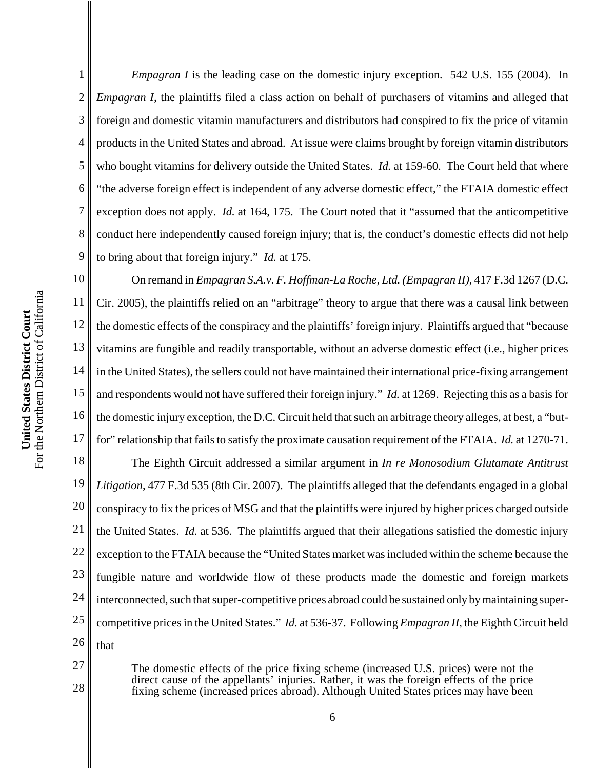6 7 8 9 10 For the Northern District of California For the Northern District of California 11 United States District Court **United States District Court** 12 13 14 15 16

27

28

1

2

3

4

5

*Empagran I* is the leading case on the domestic injury exception. 542 U.S. 155 (2004). In *Empagran I*, the plaintiffs filed a class action on behalf of purchasers of vitamins and alleged that foreign and domestic vitamin manufacturers and distributors had conspired to fix the price of vitamin products in the United States and abroad. At issue were claims brought by foreign vitamin distributors who bought vitamins for delivery outside the United States. *Id.* at 159-60. The Court held that where "the adverse foreign effect is independent of any adverse domestic effect," the FTAIA domestic effect exception does not apply. *Id.* at 164, 175. The Court noted that it "assumed that the anticompetitive conduct here independently caused foreign injury; that is, the conduct's domestic effects did not help to bring about that foreign injury." *Id.* at 175.

17 On remand in *Empagran S.A.v. F. Hoffman-La Roche, Ltd. (Empagran II)*, 417 F.3d 1267 (D.C. Cir. 2005), the plaintiffs relied on an "arbitrage" theory to argue that there was a causal link between the domestic effects of the conspiracy and the plaintiffs' foreign injury. Plaintiffs argued that "because vitamins are fungible and readily transportable, without an adverse domestic effect (i.e., higher prices in the United States), the sellers could not have maintained their international price-fixing arrangement and respondents would not have suffered their foreign injury." *Id.* at 1269. Rejecting this as a basis for the domestic injury exception, the D.C. Circuit held that such an arbitrage theory alleges, at best, a "butfor" relationship that fails to satisfy the proximate causation requirement of the FTAIA. *Id.* at 1270-71.

18 19 20 21 22 23 24 25 26 The Eighth Circuit addressed a similar argument in *In re Monosodium Glutamate Antitrust Litigation*, 477 F.3d 535 (8th Cir. 2007). The plaintiffs alleged that the defendants engaged in a global conspiracy to fix the prices of MSG and that the plaintiffs were injured by higher prices charged outside the United States. *Id.* at 536. The plaintiffs argued that their allegations satisfied the domestic injury exception to the FTAIA because the "United States market was included within the scheme because the fungible nature and worldwide flow of these products made the domestic and foreign markets interconnected, such that super-competitive prices abroad could be sustained only by maintaining supercompetitive prices in the United States." *Id.* at 536-37. Following *Empagran II*, the Eighth Circuit held that

The domestic effects of the price fixing scheme (increased U.S. prices) were not the direct cause of the appellants' injuries. Rather, it was the foreign effects of the price fixing scheme (increased prices abroad). Although United States prices may have been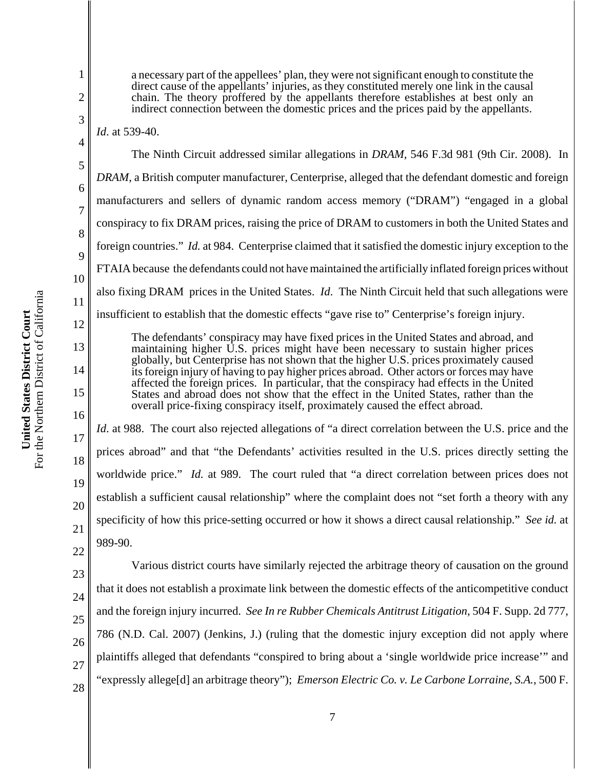For the Northern District of California For the Northern District of California United States District Court **United States District Court**

1

7

21

2 3 4 5 6 8 9 10 11 12 13 14 15 16 17 18 19 20 22 23 direct cause of the appellants' injuries, as they constituted merely one link in the causal chain. The theory proffered by the appellants therefore establishes at best only an indirect connection between the domestic prices and the prices paid by the appellants. *Id*. at 539-40. The Ninth Circuit addressed similar allegations in *DRAM*, 546 F.3d 981 (9th Cir. 2008). In *DRAM*, a British computer manufacturer, Centerprise, alleged that the defendant domestic and foreign manufacturers and sellers of dynamic random access memory ("DRAM") "engaged in a global conspiracy to fix DRAM prices, raising the price of DRAM to customers in both the United States and foreign countries." *Id.* at 984. Centerprise claimed that it satisfied the domestic injury exception to the FTAIA because the defendants could not have maintained the artificially inflated foreign prices without also fixing DRAM prices in the United States. *Id*. The Ninth Circuit held that such allegations were insufficient to establish that the domestic effects "gave rise to" Centerprise's foreign injury. The defendants' conspiracy may have fixed prices in the United States and abroad, and maintaining higher U.S. prices might have been necessary to sustain higher prices globally, but Centerprise has not shown that the higher U.S. prices proximately caused its foreign injury of having to pay higher prices abroad. Other actors or forces may have affected the foreign prices. In particular, that the conspiracy had effects in the United States and abroad does not show that the effect in the United States, rather than the overall price-fixing conspiracy itself, proximately caused the effect abroad. *Id.* at 988. The court also rejected allegations of "a direct correlation between the U.S. price and the prices abroad" and that "the Defendants' activities resulted in the U.S. prices directly setting the worldwide price." *Id.* at 989. The court ruled that "a direct correlation between prices does not establish a sufficient causal relationship" where the complaint does not "set forth a theory with any specificity of how this price-setting occurred or how it shows a direct causal relationship." *See id.* at 989-90. Various district courts have similarly rejected the arbitrage theory of causation on the ground that it does not establish a proximate link between the domestic effects of the anticompetitive conduct

a necessary part of the appellees' plan, they were not significant enough to constitute the

24 25 26 27 28 and the foreign injury incurred. *See In re Rubber Chemicals Antitrust Litigation*, 504 F. Supp. 2d 777, 786 (N.D. Cal. 2007) (Jenkins, J.) (ruling that the domestic injury exception did not apply where plaintiffs alleged that defendants "conspired to bring about a 'single worldwide price increase'" and "expressly allege[d] an arbitrage theory"); *Emerson Electric Co. v. Le Carbone Lorraine, S.A.*, 500 F.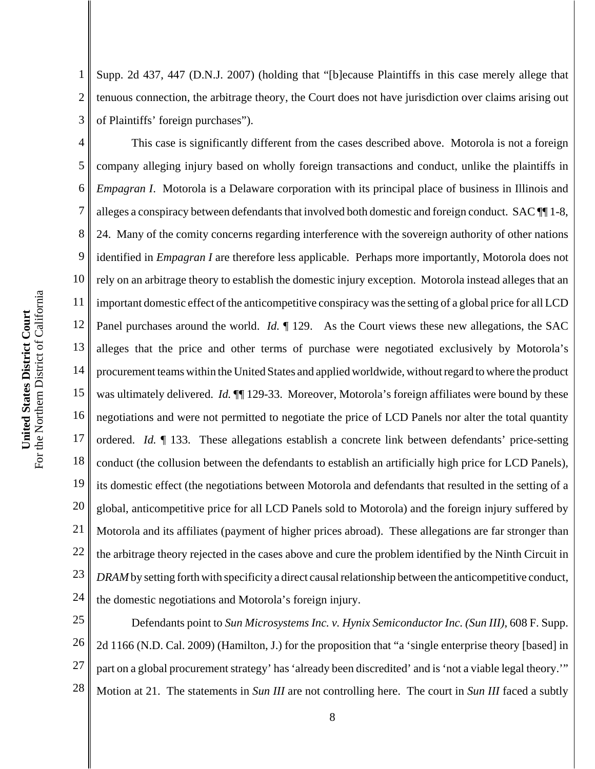1 2 3 Supp. 2d 437, 447 (D.N.J. 2007) (holding that "[b]ecause Plaintiffs in this case merely allege that tenuous connection, the arbitrage theory, the Court does not have jurisdiction over claims arising out of Plaintiffs' foreign purchases").

4 5 6 7 8 9 10 11 12 13 14 15 16 17 18 19 20 21 22 23 24 This case is significantly different from the cases described above. Motorola is not a foreign company alleging injury based on wholly foreign transactions and conduct, unlike the plaintiffs in *Empagran I*. Motorola is a Delaware corporation with its principal place of business in Illinois and alleges a conspiracy between defendants that involved both domestic and foreign conduct. SAC ¶¶ 1-8, 24. Many of the comity concerns regarding interference with the sovereign authority of other nations identified in *Empagran I* are therefore less applicable. Perhaps more importantly, Motorola does not rely on an arbitrage theory to establish the domestic injury exception. Motorola instead alleges that an important domestic effect of the anticompetitive conspiracy was the setting of a global price for all LCD Panel purchases around the world. *Id.*  $\parallel$  129. As the Court views these new allegations, the SAC alleges that the price and other terms of purchase were negotiated exclusively by Motorola's procurement teams within the United States and applied worldwide, without regard to where the product was ultimately delivered. *Id.*  $\P$ [129-33. Moreover, Motorola's foreign affiliates were bound by these negotiations and were not permitted to negotiate the price of LCD Panels nor alter the total quantity ordered. *Id.* ¶ 133. These allegations establish a concrete link between defendants' price-setting conduct (the collusion between the defendants to establish an artificially high price for LCD Panels), its domestic effect (the negotiations between Motorola and defendants that resulted in the setting of a global, anticompetitive price for all LCD Panels sold to Motorola) and the foreign injury suffered by Motorola and its affiliates (payment of higher prices abroad). These allegations are far stronger than the arbitrage theory rejected in the cases above and cure the problem identified by the Ninth Circuit in *DRAM* by setting forth with specificity a direct causal relationship between the anticompetitive conduct, the domestic negotiations and Motorola's foreign injury.

25 26 27 28 Defendants point to *Sun Microsystems Inc. v. Hynix Semiconductor Inc. (Sun III)*, 608 F. Supp. 2d 1166 (N.D. Cal. 2009) (Hamilton, J.) for the proposition that "a 'single enterprise theory [based] in part on a global procurement strategy' has 'already been discredited' and is 'not a viable legal theory.'" Motion at 21. The statements in *Sun III* are not controlling here. The court in *Sun III* faced a subtly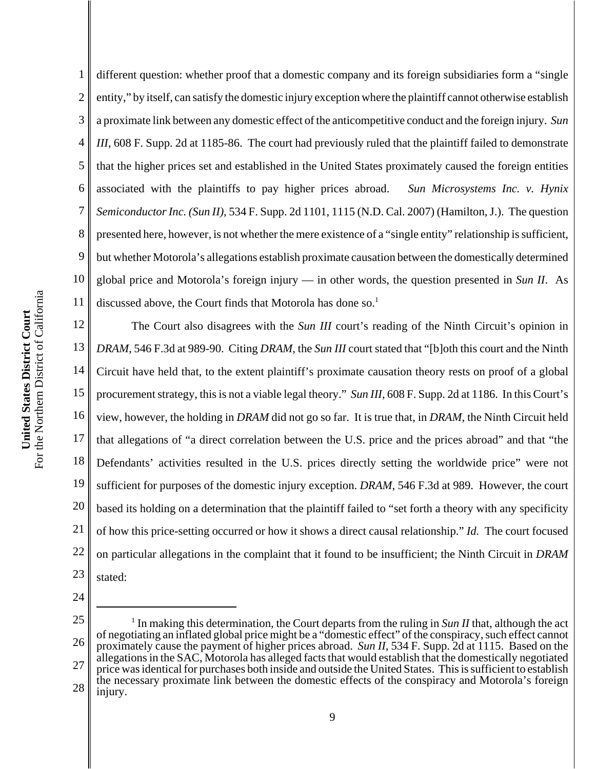1 2 3 4 5 6 different question: whether proof that a domestic company and its foreign subsidiaries form a "single entity," by itself, can satisfy the domestic injury exception where the plaintiff cannot otherwise establish a proximate link between any domestic effect of the anticompetitive conduct and the foreign injury. *Sun III*, 608 F. Supp. 2d at 1185-86. The court had previously ruled that the plaintiff failed to demonstrate that the higher prices set and established in the United States proximately caused the foreign entities associated with the plaintiffs to pay higher prices abroad. *Sun Microsystems Inc. v. Hynix Semiconductor Inc. (Sun II)*, 534 F. Supp. 2d 1101, 1115 (N.D. Cal. 2007) (Hamilton, J.). The question presented here, however, is not whether the mere existence of a "single entity" relationship is sufficient, but whether Motorola's allegations establish proximate causation between the domestically determined global price and Motorola's foreign injury — in other words, the question presented in *Sun II*. As discussed above, the Court finds that Motorola has done so.<sup>1</sup>

18 19 20 21 22 23 The Court also disagrees with the *Sun III* court's reading of the Ninth Circuit's opinion in *DRAM*, 546 F.3d at 989-90. Citing *DRAM*, the *Sun III* court stated that "[b]oth this court and the Ninth Circuit have held that, to the extent plaintiff's proximate causation theory rests on proof of a global procurement strategy, this is not a viable legal theory." *Sun III*, 608 F. Supp. 2d at 1186. In this Court's view, however, the holding in *DRAM* did not go so far. It is true that, in *DRAM*, the Ninth Circuit held that allegations of "a direct correlation between the U.S. price and the prices abroad" and that "the Defendants' activities resulted in the U.S. prices directly setting the worldwide price" were not sufficient for purposes of the domestic injury exception. *DRAM*, 546 F.3d at 989. However, the court based its holding on a determination that the plaintiff failed to "set forth a theory with any specificity of how this price-setting occurred or how it shows a direct causal relationship." *Id.* The court focused on particular allegations in the complaint that it found to be insufficient; the Ninth Circuit in *DRAM* stated:

- 24
- 25

<sup>26</sup> 27 28 <sup>1</sup> In making this determination, the Court departs from the ruling in *Sun II* that, although the act of negotiating an inflated global price might be a "domestic effect" of the conspiracy, such effect cannot proximately cause the payment of higher prices abroad. *Sun II*, 534 F. Supp. 2d at 1115. Based on the allegations in the SAC, Motorola has alleged facts that would establish that the domestically negotiated price was identical for purchases both inside and outside the United States. This is sufficient to establish the necessary proximate link between the domestic effects of the conspiracy and Motorola's foreign injury.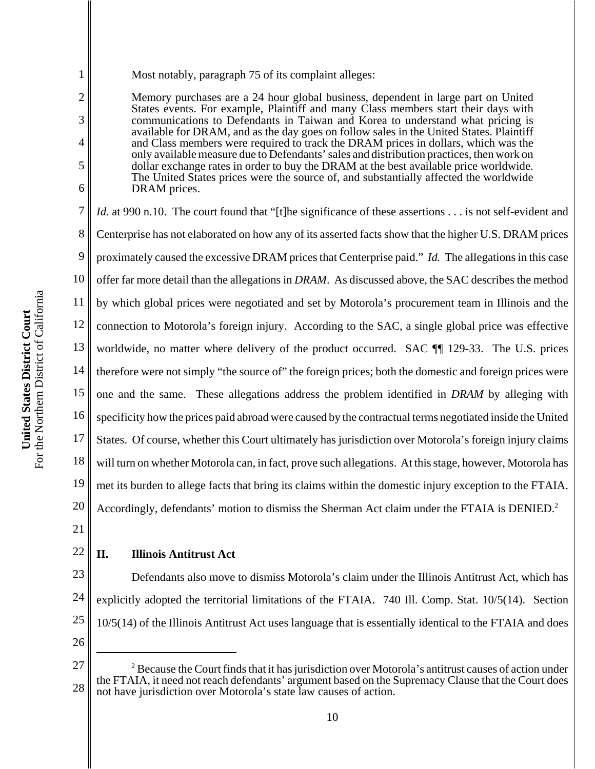Most notably, paragraph 75 of its complaint alleges:

Memory purchases are a 24 hour global business, dependent in large part on United States events. For example, Plaintiff and many Class members start their days with communications to Defendants in Taiwan and Korea to understand what pricing is available for DRAM, and as the day goes on follow sales in the United States. Plaintiff and Class members were required to track the DRAM prices in dollars, which was the only available measure due to Defendants' sales and distribution practices, then work on dollar exchange rates in order to buy the DRAM at the best available price worldwide. The United States prices were the source of, and substantially affected the worldwide DRAM prices.

7 8 9 10 11 12 13 14 15 16 17 18 19 20 *Id.* at 990 n.10. The court found that "[t]he significance of these assertions . . . is not self-evident and Centerprise has not elaborated on how any of its asserted facts show that the higher U.S. DRAM prices proximately caused the excessive DRAM prices that Centerprise paid." *Id.* The allegations in this case offer far more detail than the allegations in *DRAM*. As discussed above, the SAC describes the method by which global prices were negotiated and set by Motorola's procurement team in Illinois and the connection to Motorola's foreign injury. According to the SAC, a single global price was effective worldwide, no matter where delivery of the product occurred. SAC **[1]** 129-33. The U.S. prices therefore were not simply "the source of" the foreign prices; both the domestic and foreign prices were one and the same. These allegations address the problem identified in *DRAM* by alleging with specificity how the prices paid abroad were caused by the contractual terms negotiated inside the United States. Of course, whether this Court ultimately has jurisdiction over Motorola's foreign injury claims will turn on whether Motorola can, in fact, prove such allegations. At this stage, however, Motorola has met its burden to allege facts that bring its claims within the domestic injury exception to the FTAIA. Accordingly, defendants' motion to dismiss the Sherman Act claim under the FTAIA is DENIED.<sup>2</sup>

21

22

1

2

3

4

5

6

# **II. Illinois Antitrust Act**

23 24 25 Defendants also move to dismiss Motorola's claim under the Illinois Antitrust Act, which has explicitly adopted the territorial limitations of the FTAIA. 740 Ill. Comp. Stat. 10/5(14). Section 10/5(14) of the Illinois Antitrust Act uses language that is essentially identical to the FTAIA and does

<sup>27</sup> 28  $2^2$  Because the Court finds that it has jurisdiction over Motorola's antitrust causes of action under the FTAIA, it need not reach defendants' argument based on the Supremacy Clause that the Court does not have jurisdiction over Motorola's state law causes of action.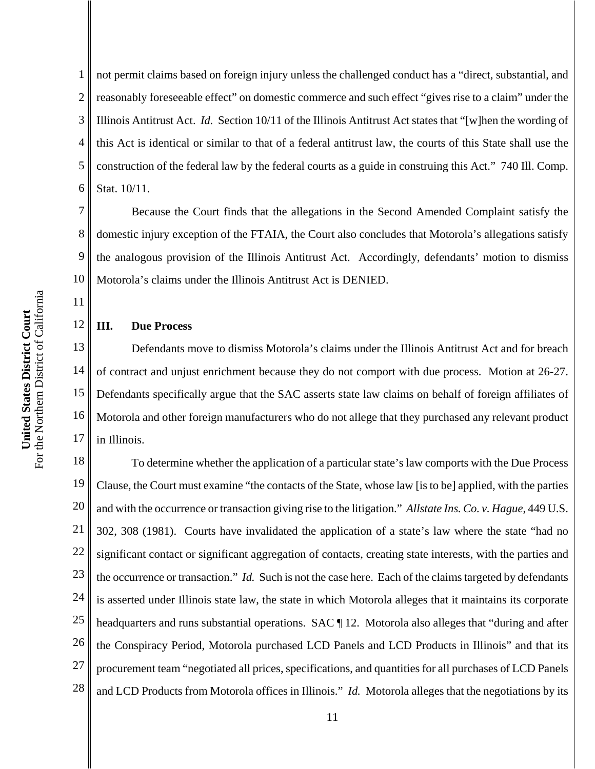1 2 3 4 5 6 not permit claims based on foreign injury unless the challenged conduct has a "direct, substantial, and reasonably foreseeable effect" on domestic commerce and such effect "gives rise to a claim" under the Illinois Antitrust Act. *Id.* Section 10/11 of the Illinois Antitrust Act states that "[w]hen the wording of this Act is identical or similar to that of a federal antitrust law, the courts of this State shall use the construction of the federal law by the federal courts as a guide in construing this Act." 740 Ill. Comp. Stat. 10/11.

Because the Court finds that the allegations in the Second Amended Complaint satisfy the domestic injury exception of the FTAIA, the Court also concludes that Motorola's allegations satisfy the analogous provision of the Illinois Antitrust Act. Accordingly, defendants' motion to dismiss Motorola's claims under the Illinois Antitrust Act is DENIED.

## **III. Due Process**

16 17 Defendants move to dismiss Motorola's claims under the Illinois Antitrust Act and for breach of contract and unjust enrichment because they do not comport with due process. Motion at 26-27. Defendants specifically argue that the SAC asserts state law claims on behalf of foreign affiliates of Motorola and other foreign manufacturers who do not allege that they purchased any relevant product in Illinois.

18 19 20 21 22 23 24 25 26 27 28 To determine whether the application of a particular state's law comports with the Due Process Clause, the Court must examine "the contacts of the State, whose law [is to be] applied, with the parties and with the occurrence or transaction giving rise to the litigation." *Allstate Ins. Co. v. Hague*, 449 U.S. 302, 308 (1981). Courts have invalidated the application of a state's law where the state "had no significant contact or significant aggregation of contacts, creating state interests, with the parties and the occurrence or transaction." *Id.* Such is not the case here. Each of the claims targeted by defendants is asserted under Illinois state law, the state in which Motorola alleges that it maintains its corporate headquarters and runs substantial operations. SAC [12. Motorola also alleges that "during and after the Conspiracy Period, Motorola purchased LCD Panels and LCD Products in Illinois" and that its procurement team "negotiated all prices, specifications, and quantities for all purchases of LCD Panels and LCD Products from Motorola offices in Illinois." *Id.* Motorola alleges that the negotiations by its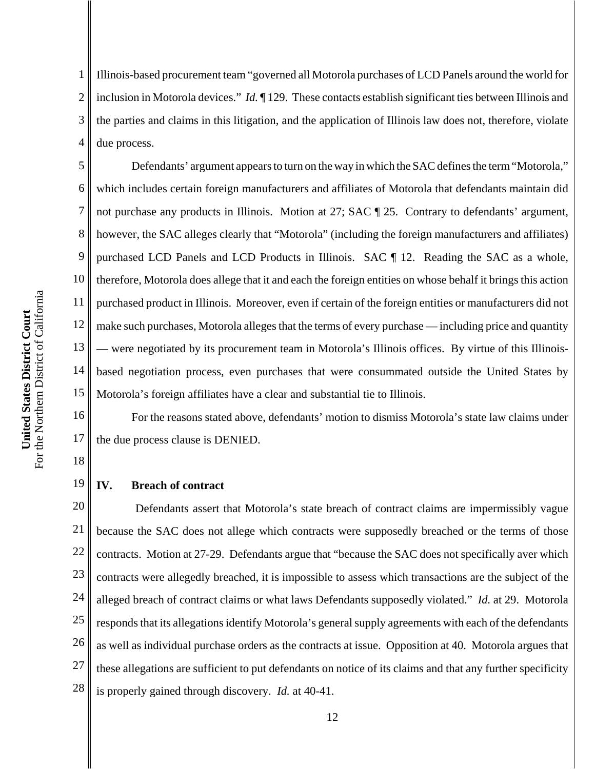1 2 3 4 Illinois-based procurement team "governed all Motorola purchases of LCD Panels around the world for inclusion in Motorola devices." *Id.* ¶ 129. These contacts establish significant ties between Illinois and the parties and claims in this litigation, and the application of Illinois law does not, therefore, violate due process.

5 6 7 8 9 10 11 12 13 14 15 Defendants' argument appears to turn on the way in which the SAC defines the term "Motorola," which includes certain foreign manufacturers and affiliates of Motorola that defendants maintain did not purchase any products in Illinois. Motion at 27; SAC  $\P$  25. Contrary to defendants' argument, however, the SAC alleges clearly that "Motorola" (including the foreign manufacturers and affiliates) purchased LCD Panels and LCD Products in Illinois. SAC ¶ 12. Reading the SAC as a whole, therefore, Motorola does allege that it and each the foreign entities on whose behalf it brings this action purchased product in Illinois. Moreover, even if certain of the foreign entities or manufacturers did not make such purchases, Motorola alleges that the terms of every purchase — including price and quantity — were negotiated by its procurement team in Motorola's Illinois offices. By virtue of this Illinoisbased negotiation process, even purchases that were consummated outside the United States by Motorola's foreign affiliates have a clear and substantial tie to Illinois.

16 17 For the reasons stated above, defendants' motion to dismiss Motorola's state law claims under the due process clause is DENIED.

18

19

#### **IV. Breach of contract**

20 21 22 23 24 25 26 27 28 Defendants assert that Motorola's state breach of contract claims are impermissibly vague because the SAC does not allege which contracts were supposedly breached or the terms of those contracts. Motion at 27-29. Defendants argue that "because the SAC does not specifically aver which contracts were allegedly breached, it is impossible to assess which transactions are the subject of the alleged breach of contract claims or what laws Defendants supposedly violated." *Id.* at 29. Motorola responds that its allegations identify Motorola's general supply agreements with each of the defendants as well as individual purchase orders as the contracts at issue. Opposition at 40. Motorola argues that these allegations are sufficient to put defendants on notice of its claims and that any further specificity is properly gained through discovery. *Id.* at 40-41.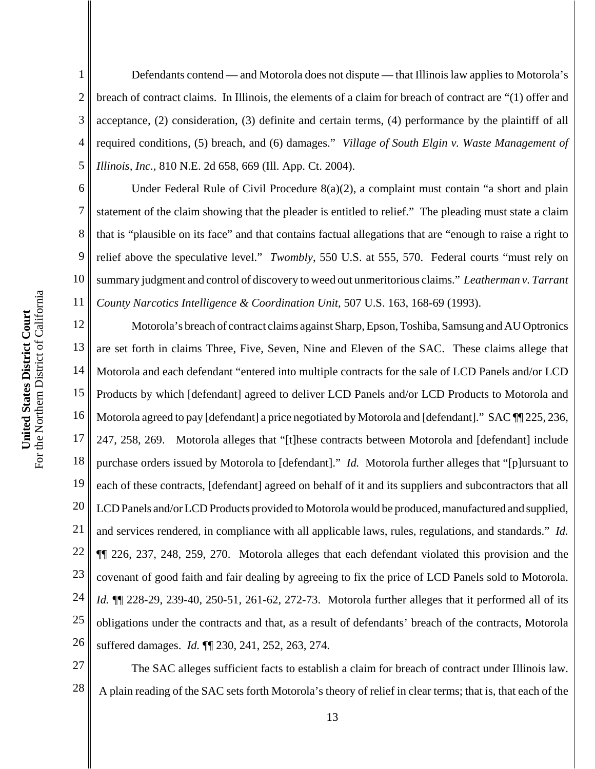1 2 3 4 5 Defendants contend — and Motorola does not dispute — that Illinois law applies to Motorola's breach of contract claims. In Illinois, the elements of a claim for breach of contract are "(1) offer and acceptance, (2) consideration, (3) definite and certain terms, (4) performance by the plaintiff of all required conditions, (5) breach, and (6) damages." *Village of South Elgin v. Waste Management of Illinois, Inc.*, 810 N.E. 2d 658, 669 (Ill. App. Ct. 2004).

6 10 Under Federal Rule of Civil Procedure  $8(a)(2)$ , a complaint must contain "a short and plain statement of the claim showing that the pleader is entitled to relief." The pleading must state a claim that is "plausible on its face" and that contains factual allegations that are "enough to raise a right to relief above the speculative level." *Twombly*, 550 U.S. at 555, 570. Federal courts "must rely on summary judgment and control of discovery to weed out unmeritorious claims." *Leatherman v. Tarrant County Narcotics Intelligence & Coordination Unit*, 507 U.S. 163, 168-69 (1993).

12 13 14 15 16 17 18 19 20 21 22 23 24 25 26 Motorola's breach of contract claims against Sharp, Epson, Toshiba, Samsung and AU Optronics are set forth in claims Three, Five, Seven, Nine and Eleven of the SAC. These claims allege that Motorola and each defendant "entered into multiple contracts for the sale of LCD Panels and/or LCD Products by which [defendant] agreed to deliver LCD Panels and/or LCD Products to Motorola and Motorola agreed to pay [defendant] a price negotiated by Motorola and [defendant]." SAC  $\P$  225, 236, 247, 258, 269. Motorola alleges that "[t]hese contracts between Motorola and [defendant] include purchase orders issued by Motorola to [defendant]." *Id.* Motorola further alleges that "[p]ursuant to each of these contracts, [defendant] agreed on behalf of it and its suppliers and subcontractors that all LCD Panels and/or LCD Products provided to Motorola would be produced, manufactured and supplied, and services rendered, in compliance with all applicable laws, rules, regulations, and standards." *Id.* ¶¶ 226, 237, 248, 259, 270. Motorola alleges that each defendant violated this provision and the covenant of good faith and fair dealing by agreeing to fix the price of LCD Panels sold to Motorola. *Id.* ¶¶ 228-29, 239-40, 250-51, 261-62, 272-73. Motorola further alleges that it performed all of its obligations under the contracts and that, as a result of defendants' breach of the contracts, Motorola suffered damages. *Id.* ¶¶ 230, 241, 252, 263, 274.

27 28 The SAC alleges sufficient facts to establish a claim for breach of contract under Illinois law. A plain reading of the SAC sets forth Motorola's theory of relief in clear terms; that is, that each of the

7

8

9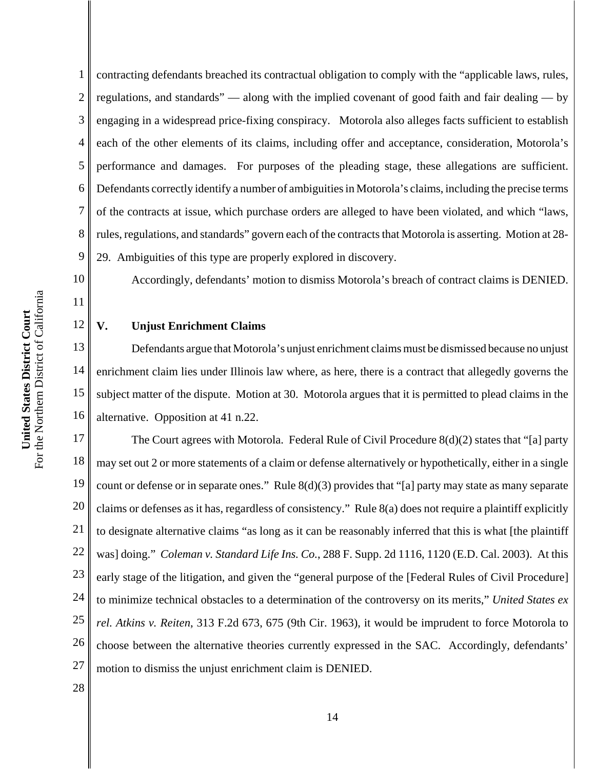1 2 3 4 5 contracting defendants breached its contractual obligation to comply with the "applicable laws, rules, regulations, and standards" — along with the implied covenant of good faith and fair dealing — by engaging in a widespread price-fixing conspiracy. Motorola also alleges facts sufficient to establish each of the other elements of its claims, including offer and acceptance, consideration, Motorola's performance and damages. For purposes of the pleading stage, these allegations are sufficient. Defendants correctly identify a number of ambiguities in Motorola's claims, including the precise terms of the contracts at issue, which purchase orders are alleged to have been violated, and which "laws, rules, regulations, and standards" govern each of the contracts that Motorola is asserting. Motion at 28- 29. Ambiguities of this type are properly explored in discovery.

Accordingly, defendants' motion to dismiss Motorola's breach of contract claims is DENIED.

### **V. Unjust Enrichment Claims**

Defendants argue that Motorola's unjust enrichment claims must be dismissed because no unjust enrichment claim lies under Illinois law where, as here, there is a contract that allegedly governs the subject matter of the dispute. Motion at 30. Motorola argues that it is permitted to plead claims in the alternative. Opposition at 41 n.22.

17 18 19 20 21 22 23 24 25 26 27 The Court agrees with Motorola. Federal Rule of Civil Procedure 8(d)(2) states that "[a] party may set out 2 or more statements of a claim or defense alternatively or hypothetically, either in a single count or defense or in separate ones." Rule 8(d)(3) provides that "[a] party may state as many separate claims or defenses as it has, regardless of consistency." Rule 8(a) does not require a plaintiff explicitly to designate alternative claims "as long as it can be reasonably inferred that this is what [the plaintiff was] doing." *Coleman v. Standard Life Ins. Co.*, 288 F. Supp. 2d 1116, 1120 (E.D. Cal. 2003). At this early stage of the litigation, and given the "general purpose of the [Federal Rules of Civil Procedure] to minimize technical obstacles to a determination of the controversy on its merits," *United States ex rel. Atkins v. Reiten*, 313 F.2d 673, 675 (9th Cir. 1963), it would be imprudent to force Motorola to choose between the alternative theories currently expressed in the SAC. Accordingly, defendants' motion to dismiss the unjust enrichment claim is DENIED.